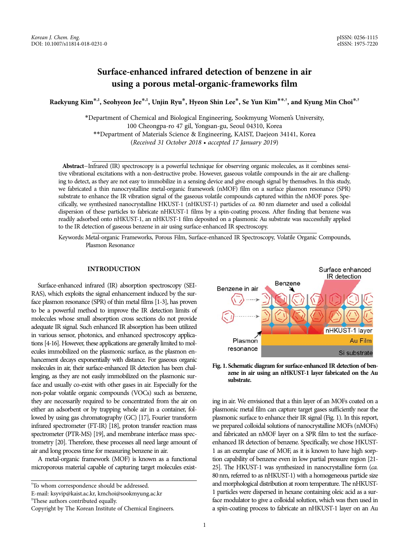# **Surface-enhanced infrared detection of benzene in air using a porous metal-organic-frameworks film**

**Raekyung Kim**\***,‡, Seohyeon Jee**\***,‡, Unjin Ryu**\***, Hyeon Shin Lee**\***, Se Yun Kim**\*\***,†, and Kyung Min Choi**\***,†**

\*Department of Chemical and Biological Engineering, Sookmyung Women's University, 100 Cheongpa-ro 47 gil, Yongsan-gu, Seoul 04310, Korea \*\*Department of Materials Science & Engineering, KAIST, Daejeon 34141, Korea (Received 31 October 2018 • accepted 17 January 2019)

Abstract-Infrared (IR) spectroscopy is a powerful technique for observing organic molecules, as it combines sensitive vibrational excitations with a non-destructive probe. However, gaseous volatile compounds in the air are challenging to detect, as they are not easy to immobilize in a sensing device and give enough signal by themselves. In this study, we fabricated a thin nanocrystalline metal-organic framework (nMOF) film on a surface plasmon resonance (SPR) substrate to enhance the IR vibration signal of the gaseous volatile compounds captured within the nMOF pores. Specifically, we synthesized nanocrystalline HKUST-1 (nHKUST-1) particles of ca. 80 nm diameter and used a colloidal dispersion of these particles to fabricate nHKUST-1 films by a spin-coating process. After finding that benzene was readily adsorbed onto nHKUST-1, an nHKUST-1 film deposited on a plasmonic Au substrate was successfully applied to the IR detection of gaseous benzene in air using surface-enhanced IR spectroscopy.

Keywords: Metal-organic Frameworks, Porous Film, Surface-enhanced IR Spectroscopy, Volatile Organic Compounds, Plasmon Resonance

# **INTRODUCTION**

Surface-enhanced infrared (IR) absorption spectroscopy (SEI-RAS), which exploits the signal enhancement induced by the surface plasmon resonance (SPR) of thin metal films [1-3], has proven to be a powerful method to improve the IR detection limits of molecules whose small absorption cross sections do not provide adequate IR signal. Such enhanced IR absorption has been utilized in various sensor, photonics, and enhanced spectroscopy applications [4-16]. However, these applications are generally limited to molecules immobilized on the plasmonic surface, as the plasmon enhancement decays exponentially with distance. For gaseous organic molecules in air, their surface-enhanced IR detection has been challenging, as they are not easily immobilized on the plasmonic surface and usually co-exist with other gases in air. Especially for the non-polar volatile organic compounds (VOCs) such as benzene, they are necessarily required to be concentrated from the air on either an adsorbent or by trapping whole air in a container, followed by using gas chromatography (GC) [17], Fourier transform infrared spectrometer (FT-IR) [18], proton transfer reaction mass spectrometer (PTR-MS) [19], and membrane interface mass spectrometry [20]. Therefore, these processes all need large amount of air and long process time for measuring benzene in air.

A metal-organic framework (MOF) is known as a functional microporous material capable of capturing target molecules exist-

† To whom correspondence should be addressed.

‡ These authors contributed equally.



**Fig. 1. Schematic diagram for surface-enhanced IR detection of benzene in air using an nHKUST-1 layer fabricated on the Au substrate.**

ing in air. We envisioned that a thin layer of an MOFs coated on a plasmonic metal film can capture target gases sufficiently near the plasmonic surface to enhance their IR signal (Fig. 1). In this report, we prepared colloidal solutions of nanocrystalline MOFs (nMOFs) and fabricated an nMOF layer on a SPR film to test the surfaceenhanced IR detection of benzene. Specifically, we chose HKUST-1 as an exemplar case of MOF, as it is known to have high sorption capability of benzene even in low partial pressure region [21- 25]. The HKUST-1 was synthesized in nanocrystalline form (ca. 80 nm, referred to as nHKUST-1) with a homogeneous particle size and morphological distribution at room temperature. The nHKUST-1 particles were dispersed in hexane containing oleic acid as a surface modulator to give a colloidal solution, which was then used in a spin-coating process to fabricate an nHKUST-1 layer on an Au

E-mail: ksyvip@kaist.ac.kr, kmchoi@sookmyung.ac.kr

Copyright by The Korean Institute of Chemical Engineers.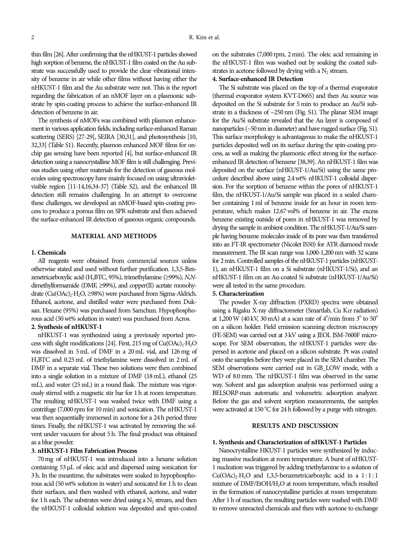thin film [26]. After confirming that the nHKUST-1 particles showed high sorption of benzene, the nHKUST-1 film coated on the Au substrate was successfully used to provide the clear vibrational intensity of benzene in air while other films without having either the nHKUST-1 film and the Au substrate were not. This is the report regarding the fabrication of an nMOF layer on a plasmonic substrate by spin-coating process to achieve the surface-enhanced IR detection of benzene in air.

The synthesis of nMOFs was combined with plasmon enhancement in various application fields, including surface-enhanced Raman scattering (SERS) [27-29], SEIRA [30,31], and photosynthesis [10, 32,33] (Table S1). Recently, plasmon enhanced MOF films for onchip gas sensing have been reported [4], but surface-enhanced IR detection using a nanocrystalline MOF film is still challenging. Previous studies using other materials for the detection of gaseous molecules using spectroscopy have mainly focused on using ultravioletvisible region [11-14,16,34-37] (Table S2), and the enhanced IR detection still remains challenging. In an attempt to overcome these challenges, we developed an nMOF-based spin-coating process to produce a porous film on SPR substrate and then achieved the surface-enhanced IR detection of gaseous organic compounds.

### **MATERIAL AND METHODS**

### **1. Chemicals**

All reagents were obtained from commercial sources unless otherwise stated and used without further purification. 1,3,5-Benzenetricarboxylic acid (H<sub>3</sub>BTC, 95%), trimethylamine ( $\geq$ 99%), N,Ndimethylformamide (DMF,  $\geq$ 99%), and copper(II) acetate monohydrate  $(Cu(OAc)<sub>2</sub>·H<sub>2</sub>O, \geq 98%)$  were purchased from Sigma-Aldrich. Ethanol, acetone, and distilled water were purchased from Duksan. Hexane (95%) was purchased from Samchun. Hypophosphorous acid (50 wt% solution in water) was purchased from Acros.

# **2. Synthesis of nHKUST-1**

nHKUST-1 was synthesized using a previously reported process with slight modifications [24]. First, 215 mg of  $Cu(OAc)<sub>2</sub>·H<sub>2</sub>O$ was dissolved in 5 mL of DMF in a 20 mL vial, and 126 mg of H3BTC and 0.25 mL of triethylamine were dissolved in 2 mL of DMF in a separate vial. These two solutions were then combined into a single solution in a mixture of DMF (18 mL), ethanol (25 mL), and water (25 mL) in a round flask. The mixture was vigorously stirred with a magnetic stir bar for 1 h at room temperature. The resulting nHKUST-1 was washed twice with DMF using a centrifuge (7,000 rpm for 10 min) and sonication. The nHKUST-1 was then sequentially immersed in acetone for a 24 h period three times. Finally, the nHKUST-1 was activated by removing the solvent under vacuum for about 5 h. The final product was obtained as a blue powder.

# **3. nHKUST-1 Film Fabrication Process**

70 mg of nHKUST-1 was introduced into a hexane solution containing 53 µL of oleic acid and dispersed using sonication for 3 h. In the meantime, the substrates were soaked in hypophosphorous acid (50 wt% solution in water) and sonicated for 1 h to clean their surfaces, and then washed with ethanol, acetone, and water for 1 h each. The substrates were dried using a  $N<sub>2</sub>$  stream, and then the nHKUST-1 colloidal solution was deposited and spin-coated on the substrates (7,000 rpm, 2 min). The oleic acid remaining in the nHKUST-1 film was washed out by soaking the coated substrates in acetone followed by drying with a  $N_2$  stream.

# **4. Surface-enhanced IR Detection**

The Si substrate was placed on the top of a thermal evaporator (thermal evaporator system KVT-D665) and then Au source was deposited on the Si substrate for 5 min to produce an Au/Si substrate in a thickness of ~250 nm (Fig. S1). The planar SEM image for the Au/Si substrate revealed that the Au layer is composed of nanoparticles (~50nm in diameter) and have rugged surface (Fig. S1). This surface morphology is advantageous to make the nHKUST-1 particles deposited well on its surface during the spin-coating process, as well as making the plasmonic effect strong for the surfaceenhanced IR detection of benzene [38,39]. An nHKUST-1 film was deposited on the surface (nHKUST-1/Au/Si) using the same procedure described above using 2.4wt% nHKUST-1 colloidal dispersion. For the sorption of benzene within the pores of nHKUST-1 film, the nHKUST-1/Au/Si sample was placed in a sealed chamber containing 1 ml of benzene inside for an hour in room temperature, which makes 12.67 vol% of benzene in air. The excess benzene existing outside of pores in nHKUST-1 was removed by drying the sample in ambient condition. The nHKUST-1/Au/Si sample having benzene molecules inside of its pore was then transferred into an FT-IR spectrometer (Nicolet IS50) for ATR diamond mode measurement. The IR scan range was 1,000-1,200 nm with 32 scans for 2min. Controlled samples of the nHKUST-1 particles (nHKUST-1), an nHKUST-1 film on a Si substrate (nHKUST-1/Si), and an nHKUST-1 film on an Au-coated Si substrate (nHKUST-1/Au/Si) were all tested in the same procedure.

# **5. Characterization**

The powder X-ray diffraction (PXRD) spectra were obtained using a Rigaku X-ray diffractometer (Smartlab, Cu K $\alpha$  radiation) at 1,200 W (40 kV, 30 mA) at a scan rate of  $4^{\circ}/$ min from 3 $^{\circ}$  to 50 $^{\circ}$ on a silicon holder. Field emission scanning electron microscopy (FE-SEM) was carried out at 3kV using a JEOL JSM-7600F microscope. For SEM observation, the nHKUST-1 particles were dispersed in acetone and placed on a silicon substrate. Pt was coated onto the samples before they were placed in the SEM chamber. The SEM observations were carried out in GB LOW mode, with a WD of 8.0 mm. The nHKUST-1 film was observed in the same way. Solvent and gas adsorption analysis was performed using a BELSORP-max automatic and volumetric adsorption analyzer. Before the gas and solvent sorption measurements, the samples were activated at  $150^{\circ}$ C for 24 h followed by a purge with nitrogen.

### **RESULTS AND DISCUSSION**

#### **1. Synthesis and Characterization of nHKUST-1 Particles**

Nanocrystalline HKUST-1 particles were synthesized by inducing massive nucleation at room temperature. A burst of nHKUST-1 nucleation was triggered by adding triethylamine to a solution of  $Cu(OAc)<sub>2</sub>·H<sub>2</sub>O$  and 1,3,5-benzenetricarboxylic acid in a  $1:1:1$ mixture of DMF/EtOH/H<sub>2</sub>O at room temperature, which resulted in the formation of nanocrystalline particles at room temperature. After 1 h of reaction, the resulting particles were washed with DMF to remove unreacted chemicals and then with acetone to exchange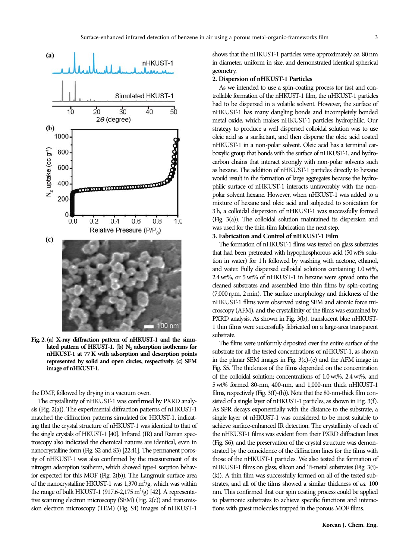

**Fig. 2. (a) X-ray diffraction pattern of nHKUST-1 and the simu**lated pattern of HKUST-1. (b) N<sub>2</sub> adsorption isotherms for **nHKUST-1 at 77 K with adsorption and desorption points represented by solid and open circles, respectively. (c) SEM image of nHKUST-1.**

the DMF, followed by drying in a vacuum oven.

The crystallinity of nHKUST-1 was confirmed by PXRD analysis (Fig. 2(a)). The experimental diffraction patterns of nHKUST-1 matched the diffraction patterns simulated for HKUST-1, indicating that the crystal structure of nHKUST-1 was identical to that of the single crystals of HKUST-1 [40]. Infrared (IR) and Raman spectroscopy also indicated the chemical natures are identical, even in nanocrystalline form (Fig. S2 and S3) [22,41]. The permanent porosity of nHKUST-1 was also confirmed by the measurement of its nitrogen adsorption isotherm, which showed type-I sorption behavior expected for this MOF (Fig. 2(b)). The Langmuir surface area of the nanocrystalline HKUST-1 was  $1,370 \text{ m}^2/\text{g}$ , which was within the range of bulk HKUST-1 (917.6-2,175  $m^2/g$ ) [42]. A representative scanning electron microscopy (SEM) (Fig. 2(c)) and transmission electron microscopy (TEM) (Fig. S4) images of nHKUST-1

shows that the nHKUST-1 particles were approximately ca. 80 nm in diameter, uniform in size, and demonstrated identical spherical geometry.

#### **2. Dispersion of nHKUST-1 Particles**

As we intended to use a spin-coating process for fast and controllable formation of the nHKUST-1 film, the nHKUST-1 particles had to be dispersed in a volatile solvent. However, the surface of nHKUST-1 has many dangling bonds and incompletely bonded metal oxide, which makes nHKUST-1 particles hydrophilic. Our strategy to produce a well dispersed colloidal solution was to use oleic acid as a surfactant, and then disperse the oleic acid coated nHKUST-1 in a non-polar solvent. Oleic acid has a terminal carboxylic group that bonds with the surface of nHKUST-1, and hydrocarbon chains that interact strongly with non-polar solvents such as hexane. The addition of nHKUST-1 particles directly to hexane would result in the formation of large aggregates because the hydrophilic surface of nHKUST-1 interacts unfavorably with the nonpolar solvent hexane. However, when nHKUST-1 was added to a mixture of hexane and oleic acid and subjected to sonication for 3 h, a colloidal dispersion of nHKUST-1 was successfully formed (Fig. 3(a)). The colloidal solution maintained its dispersion and was used for the thin-film fabrication the next step.

### **3. Fabrication and Control of nHKUST-1 Film**

The formation of nHKUST-1 films was tested on glass substrates that had been pretreated with hypophosphorous acid (50wt% solution in water) for 1 h followed by washing with acetone, ethanol, and water. Fully dispersed colloidal solutions containing 1.0 wt%, 2.4 wt%, or 5 wt% of nHKUST-1 in hexane were spread onto the cleaned substrates and assembled into thin films by spin-coating (7,000 rpm, 2 min). The surface morphology and thickness of the nHKUST-1 films were observed using SEM and atomic force microscopy (AFM), and the crystallinity of the films was examined by PXRD analysis. As shown in Fig. 3(b), translucent blue nHKUST-1 thin films were successfully fabricated on a large-area transparent substrate.

The films were uniformly deposited over the entire surface of the substrate for all the tested concentrations of nHKUST-1, as shown in the planar SEM images in Fig.  $3(c)$ - $(e)$  and the AFM image in Fig. S5. The thickness of the films depended on the concentration of the colloidal solution; concentrations of 1.0 wt%, 2.4 wt%, and 5 wt% formed 80-nm, 400-nm, and 1,000-nm thick nHKUST-1 films, respectively (Fig. 3(f)-(h)). Note that the 80-nm-thick film consisted of a single layer of nHKUST-1 particles, as shown in Fig. 3(f). As SPR decays exponentially with the distance to the substrate, a single layer of nHKUST-1 was considered to be most suitable to achieve surface-enhanced IR detection. The crystallinity of each of the nHKUST-1 films was evident from their PXRD diffraction lines (Fig. S6), and the preservation of the crystal structure was demonstrated by the coincidence of the diffraction lines for the films with those of the nHKUST-1 particles. We also tested the formation of nHKUST-1 films on glass, silicon and Ti-metal substrates (Fig. 3(i)- (k)). A thin film was successfully formed on all of the tested substrates, and all of the films showed a similar thickness of ca. 100 nm. This confirmed that our spin coating process could be applied to plasmonic substrates to achieve specific functions and interactions with guest molecules trapped in the porous MOF films.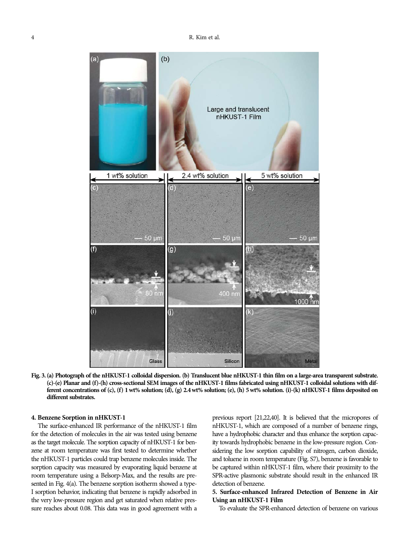

**Fig. 3. (a) Photograph of the nHKUST-1 colloidal dispersion. (b) Translucent blue nHKUST-1 thin film on a large-area transparent substrate. (c)-(e) Planar and (f)-(h) cross-sectional SEM images of the nHKUST-1 films fabricated using nHKUST-1 colloidal solutions with different concentrations of (c), (f) 1 wt% solution; (d), (g) 2.4 wt% solution; (e), (h) 5 wt% solution. (i)-(k) nHKUST-1 films deposited on different substrates.**

### **4. Benzene Sorption in nHKUST-1**

The surface-enhanced IR performance of the nHKUST-1 film for the detection of molecules in the air was tested using benzene as the target molecule. The sorption capacity of nHKUST-1 for benzene at room temperature was first tested to determine whether the nHKUST-1 particles could trap benzene molecules inside. The sorption capacity was measured by evaporating liquid benzene at room temperature using a Belsorp-Max, and the results are presented in Fig. 4(a). The benzene sorption isotherm showed a type-I sorption behavior, indicating that benzene is rapidly adsorbed in the very low-pressure region and get saturated when relative pressure reaches about 0.08. This data was in good agreement with a previous report [21,22,40]. It is believed that the micropores of nHKUST-1, which are composed of a number of benzene rings, have a hydrophobic character and thus enhance the sorption capacity towards hydrophobic benzene in the low-pressure region. Considering the low sorption capability of nitrogen, carbon dioxide, and toluene in room temperature (Fig. S7), benzene is favorable to be captured within nHKUST-1 film, where their proximity to the SPR-active plasmonic substrate should result in the enhanced IR detection of benzene.

# **5. Surface-enhanced Infrared Detection of Benzene in Air Using an nHKUST-1 Film**

To evaluate the SPR-enhanced detection of benzene on various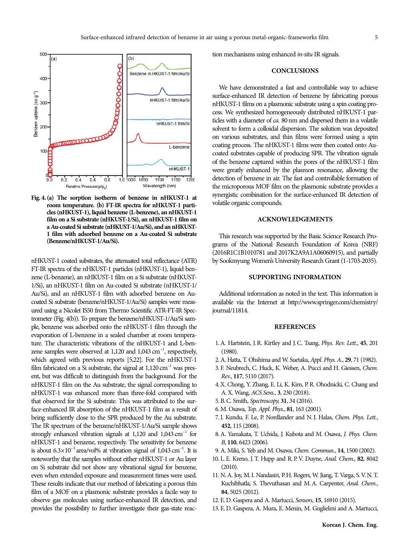

**Fig. 4. (a) The sorption isotherm of benzene in nHKUST-1 at room temperature. (b) FT-IR spectra for nHKUST-1 particles (nHKUST-1), liquid benzene (L-benzene), an nHKUST-1 film on a Si substrate (nHKUST-1/Si), an nHKUST-1 film on a Au-coated Si substrate (nHKUST-1/Au/Si), and an nHKUST-1 film with adsorbed benzene on a Au-coated Si substrate (Benzene/nHKUST-1/Au/Si).**

nHKUST-1 coated substrates, the attenuated total reflectance (ATR) FT-IR spectra of the nHKUST-1 particles (nHKUST-1), liquid benzene (L-benzene), an nHKUST-1 film on a Si substrate (nHKUST-1/Si), an nHKUST-1 film on Au-coated Si substrate (nHKUST-1/ Au/Si), and an nHKUST-1 film with adsorbed benzene on Aucoated Si substrate (benzene/nHKUST-1/Au/Si) samples were measured using a Nicolet IS50 from Thermo Scientific ATR-FT-IR Spectrometer (Fig. 4(b)). To prepare the benzene/nHKUST-1/Au/Si sample, benzene was adsorbed onto the nHKUST-1 film through the evaporation of L-benzene in a sealed chamber at room temperature. The characteristic vibrations of the nHKUST-1 and L-benzene samples were observed at  $1,120$  and  $1,043$  cm<sup>-1</sup>, respectively, which agreed with previous reports [5,22]. For the nHKUST-1 film fabricated on a Si substrate, the signal at  $1,120 \text{ cm}^{-1}$  was present, but was difficult to distinguish from the background. For the nHKUST-1 film on the Au substrate, the signal corresponding to nHKUST-1 was enhanced more than three-fold compared with that observed for the Si substrate. This was attributed to the surface-enhanced IR absorption of the nHKUST-1 film as a result of being sufficiently close to the SPR produced by the Au substrate. The IR spectrum of the benzene/nHKUST-1/Au/Si sample shows strongly enhanced vibration signals at  $1,120$  and  $1,043$   $cm^{-1}$  for nHKUST-1 and benzene, respectively. The sensitivity for benzene is about  $6.3 \times 10^{-3}$  area/vol% at vibration signal of  $1,043$  cm<sup>-1</sup>. It is noteworthy that the samples without either nHKUST-1 or Au layer on Si substrate did not show any vibrational signal for benzene, even when extended exposure and measurement times were used. These results indicate that our method of fabricating a porous thin film of a MOF on a plasmonic substrate provides a facile way to observe gas molecules using surface-enhanced IR detection, and provides the possibility to further investigate their gas-state reaction mechanisms using enhanced in-situ IR signals.

### **CONCLUSIONS**

We have demonstrated a fast and controllable way to achieve surface-enhanced IR detection of benzene by fabricating porous nHKUST-1 films on a plasmonic substrate using a spin coating process. We synthesized homogeneously distributed nHKUST-1 particles with a diameter of ca. 80 nm and dispersed them in a volatile solvent to form a colloidal dispersion. The solution was deposited on various substrates, and thin films were formed using a spin coating process. The nHKUST-1 films were then coated onto Aucoated substrates capable of producing SPR. The vibration signals of the benzene captured within the pores of the nHKUST-1 film were greatly enhanced by the plasmon resonance, allowing the detection of benzene in air. The fast and controllable formation of the microporous MOF film on the plasmonic substrate provides a synergistic combination for the surface-enhanced IR detection of volatile organic compounds.

# **ACKNOWLEDGEMENTS**

This research was supported by the Basic Science Research Programs of the National Research Foundation of Korea (NRF) (2016R1C1B1010781 and 2017K2A9A1A06060915), and partially by Sookmyung Women's University Research Grant (1-1703-2035).

# **SUPPORTING INFORMATION**

Additional information as noted in the text. This information is available via the Internet at http://www.springer.com/chemistry/ journal/11814.

### **REFERENCES**

- 1. A. Hartstein, J. R. Kirtley and J. C. Tsang, Phys. Rev. Lett., **45**, 201 (1980).
- 2. A. Hatta, T. Ohshima and W. Suetaka, Appl. Phys. A., **29**, 71 (1982).
- 3. F. Neubrech, C. Huck, K. Weber, A. Pucci and H. Giessen, Chem. Rev., **117**, 5110 (2017).
- 4. X. Chong, Y. Zhang, E. Li, K. Kim, P. R. Ohodnicki, C. Chang and A. X. Wang, ACS Sens., **3**, 230 (2018).
- 5. B. C. Smith, Spectroscopy, **31**, 34 (2016).
- 6. M. Osawa, Top. Appl. Phys., **81**, 163 (2001).
- 7. J. Kundu, F. Le, P. Nordlander and N. J. Halas, Chem. Phys. Lett., **452**, 115 (2008).
- 8. A. Yamakata, T. Uchida, J. Kubota and M. Osawa, J. Phys. Chem. B, **110**, 6423 (2006).
- 9. A. Miki, S. Yeb and M. Osawa, Chem. Commun., **14**, 1500 (2002).
- 10. L. E. Kreno, J. T. Hupp and R. P. V. Duyne, Anal. Chem., **82**, 8042 (2010).
- 11. N. A. Joy, M. I. Nandasiri, P. H. Rogers, W. Jiang, T. Varga, S. V. N. T. Kuchibhatla, S. Thevuthasan and M. A. Carpenter, Anal. Chem., **84**, 5025 (2012).
- 12. E. D. Gaspera and A. Martucci, Sensors, **15**, 16910 (2015).
- 13. E. D. Gaspera, A. Mura, E. Menin, M. Guglielmi and A. Martucci,